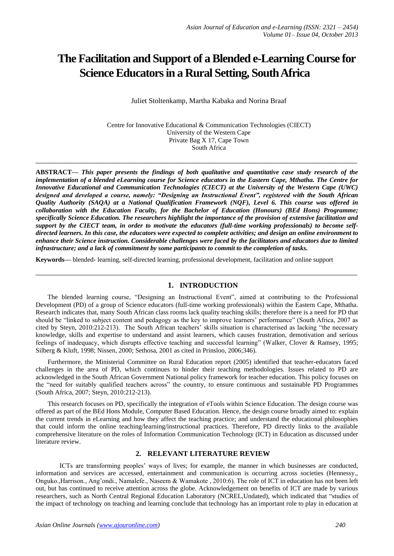# **The Facilitation and Support of a Blended e-Learning Course for Science Educators in a Rural Setting, South Africa**

Juliet Stoltenkamp, Martha Kabaka and Norina Braaf

Centre for Innovative Educational & Communication Technologies (CIECT) University of the Western Cape Private Bag X 17, Cape Town South Africa

**ABSTRACT—** *This paper presents the findings of both qualitative and quantitative case study research of the implementation of a blended eLearning course for Science educators in the Eastern Cape, Mthatha. The Centre for Innovative Educational and Communication Technologies (CIECT) at the University of the Western Cape (UWC) designed and developed a course, namely: "Designing an Instructional Event", registered with the South African Quality Authority (SAQA) at a National Qualification Framework (NQF), Level 6. This course was offered in collaboration with the Education Faculty, for the Bachelor of Education (Honours) (BEd Hons) Programme; specifically Science Education. The researchers highlight the importance of the provision of extensive facilitation and support by the CIECT team, in order to motivate the educators (full-time working professionals) to become selfdirected learners. In this case, the educators were expected to complete activities; and design an online environment to enhance their Science instruction. Considerable challenges were faced by the facilitators and educators due to limited infrastructure; and a lack of commitment by some participants to commit to the completion of tasks.*

**\_\_\_\_\_\_\_\_\_\_\_\_\_\_\_\_\_\_\_\_\_\_\_\_\_\_\_\_\_\_\_\_\_\_\_\_\_\_\_\_\_\_\_\_\_\_\_\_\_\_\_\_\_\_\_\_\_\_\_\_\_\_\_\_\_\_\_\_\_\_\_\_\_\_\_\_\_\_\_\_\_**

**Keywords—** blended- learning, self-directed learning, professional development, facilitation and online support

## **1. INTRODUCTION**

**\_\_\_\_\_\_\_\_\_\_\_\_\_\_\_\_\_\_\_\_\_\_\_\_\_\_\_\_\_\_\_\_\_\_\_\_\_\_\_\_\_\_\_\_\_\_\_\_\_\_\_\_\_\_\_\_\_\_\_\_\_\_\_\_\_\_\_\_\_\_\_\_\_\_\_\_\_\_\_\_\_**

The blended learning course, "Designing an Instructional Event", aimed at contributing to the Professional Development (PD) of a group of Science educators (full-time working professionals) within the Eastern Cape, Mthatha. Research indicates that, many South African class rooms lack quality teaching skills; therefore there is a need for PD that should be "linked to subject content and pedagogy as the key to improve learners' performance" (South Africa, 2007 as cited by Steyn, 2010:212-213). The South African teachers' skills situation is characterised as lacking "the necessary knowledge, skills and expertise to understand and assist learners, which causes frustration, demotivation and serious feelings of inadequacy, which disrupts effective teaching and successful learning" (Walker, Clover & Ramsey, 1995; Silberg & Kluft, 1998; Nissen, 2000; Sethosa, 2001 as cited in Prinsloo, 2006;346).

Furthermore, the Ministerial Committee on Rural Education report (2005) identified that teacher-educators faced challenges in the area of PD, which continues to hinder their teaching methodologies. Issues related to PD are acknowledged in the South African Government National policy framework for teacher education. This policy focuses on the "need for suitably qualified teachers across" the country, to ensure continuous and sustainable PD Programmes (South Africa, 2007; Steyn, 2010:212-213).

This research focuses on PD, specifically the integration of eTools within Science Education. The design course was offered as part of the BEd Hons Module, Computer Based Education. Hence, the design course broadly aimed to: explain the current trends in eLearning and how they affect the teaching practice; and understand the educational philosophies that could inform the online teaching/learning/instructional practices. Therefore, PD directly links to the available comprehensive literature on the roles of Information Communication Technology (ICT) in Education as discussed under literature review.

### **2. RELEVANT LITERATURE REVIEW**

ICTs are transforming peoples' ways of lives; for example, the manner in which businesses are conducted, information and services are accessed, entertainment and communication is occurring across societies (Hennessy., Onguko.,Harrison., Ang'ondi., Namalefe., Naseem & Wamakote , 2010:6). The role of ICT in education has not been left out, but has continued to receive attention across the globe. Acknowledgement on benefits of ICT are made by various researchers, such as North Central Regional Education Laboratory (NCREL,Undated), which indicated that "studies of the impact of technology on teaching and learning conclude that technology has an important role to play in education at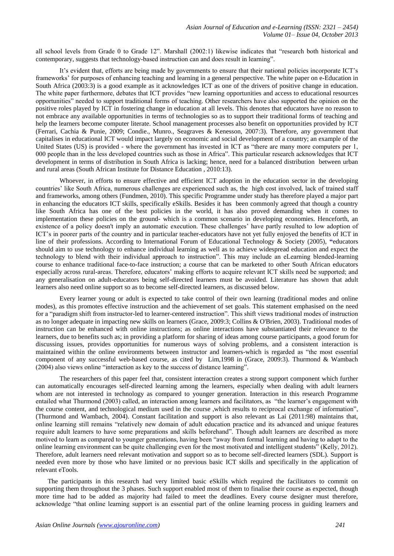all school levels from Grade 0 to Grade 12". Marshall (2002:1) likewise indicates that "research both historical and contemporary, suggests that technology-based instruction can and does result in learning".

It's evident that, efforts are being made by governments to ensure that their national policies incorporate ICT's frameworks' for purposes of enhancing teaching and learning in a general perspective. The white paper on e-Education in South Africa (2003:3) is a good example as it acknowledges ICT as one of the drivers of positive change in education. The white paper furthermore, debates that ICT provides "new learning opportunities and access to educational resources opportunities" needed to support traditional forms of teaching. Other researchers have also supported the opinion on the positive roles played by ICT in fostering change in education at all levels. This denotes that educators have no reason to not embrace any available opportunities in terms of technologies so as to support their traditional forms of teaching and help the learners become computer literate. School management processes also benefit on opportunities provided by ICT (Ferrari, Cachia & Punie, 2009; Condie., Munro., Seagraves & Kenesson, 2007:3). Therefore, any government that capitalises in educational ICT would impact largely on economic and social development of a country; an example of the United States (US) is provided - where the government has invested in ICT as "there are many more computers per 1, 000 people than in the less developed countries such as those in Africa". This particular research acknowledges that ICT development in terms of distribution in South Africa is lacking; hence, need for a balanced distribution between urban and rural areas (South African Institute for Distance Education , 2010:13).

Whoever, in efforts to ensure effective and efficient ICT adoption in the education sector in the developing countries' like South Africa, numerous challenges are experienced such as, the high cost involved, lack of trained staff and frameworks, among others (Fundmen, 2010). This specific Programme under study has therefore played a major part in enhancing the educators ICT skills, specifically eSkills. Besides it has been commonly agreed that though a country like South Africa has one of the best policies in the world, it has also proved demanding when it comes to implementation these policies on the ground- which is a common scenario in developing economies. Henceforth, an existence of a policy doesn't imply an automatic execution. These challenges' have partly resulted to low adoption of ICT's in poorer parts of the country and in particular teacher-educators have not yet fully enjoyed the benefits of ICT in line of their professions. According to International Forum of Educational Technology & Society (2005), **"**educators should aim to use technology to enhance individual learning as well as to achieve widespread education and expect the technology to blend with their individual approach to instruction". This may include an eLearning blended-learning course to enhance traditional face-to-face instruction; a course that can be marketed to other South African educators especially across rural-areas. Therefore, educators' making efforts to acquire relevant ICT skills need be supported; and any generalisation on adult-educators being self-directed learners must be avoided. Literature has shown that adult learners also need online support so as to become self-directed learners, as discussed below.

Every learner young or adult is expected to take control of their own learning (traditional modes and online modes), as this promotes effective instruction and the achievement of set goals. This statement emphasised on the need for a "paradigm shift from instructor-led to learner-centered instruction". This shift views traditional modes of instruction as no longer adequate in impacting new skills on learners (Grace, 2009:3; Collins & O'Brien, 2003). Traditional modes of instruction can be enhanced with online instructions; as online interactions have substantiated their relevance to the learners, due to benefits such as; in providing a platform for sharing of ideas among course participants, a good forum for discussing issues, provides opportunities for numerous ways of solving problems, and a consistent interaction is maintained within the online environments between instructor and learners-which is regarded as "the most essential component of any successful web-based course, as cited by Lim,1998 in (Grace, 2009:3). Thurmond & Wambach (2004) also views online "interaction as key to the success of distance learning".

The researchers of this paper feel that, consistent interaction creates a strong support component which further can automatically encourages self-directed learning among the learners, especially when dealing with adult learners whom are not interested in technology as compared to younger generation. Interaction in this research Programme entailed what Thurmond (2003) called, an interaction among learners and facilitators, as "the learner's engagement with the course content, and technological medium used in the course ,which results to reciprocal exchange of information", (Thurmond and Wambach, 2004). Constant facilitation and support is also relevant as Lai (2011:98) maintains that, online learning still remains "relatively new domain of adult education practice and its advanced and unique features require adult learners to have some preparations and skills beforehand". Though adult learners are described as more motived to learn as compared to younger generations, having been "away from formal learning and having to adapt to the online learning environment can be quite challenging even for the most motivated and intelligent students" (Kelly, 2012). Therefore, adult learners need relevant motivation and support so as to become self-directed learners (SDL). Support is needed even more by those who have limited or no previous basic ICT skills and specifically in the application of relevant eTools.

The participants in this research had very limited basic eSkills which required the facilitators to commit on supporting them throughout the 3 phases. Such support enabled most of them to finalise their course as expected, though more time had to be added as majority had failed to meet the deadlines. Every course designer must therefore, acknowledge "that online learning support is an essential part of the online learning process in guiding learners and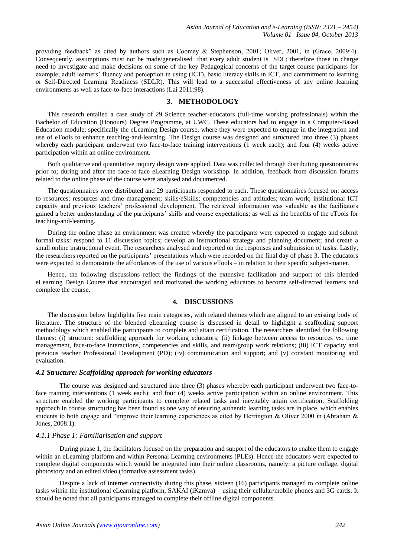providing feedback" as cited by authors such as Coomey & Stephenson, 2001; Oliver, 2001, in (Grace, 2009:4). Consequently, assumptions must not be made/generalised that every adult student is SDL; therefore those in charge need to investigate and make decisions on some of the key Pedagogical concerns of the target course participants for example; adult learners' fluency and perception in using (ICT), basic literacy skills in ICT, and commitment to learning or Self-Directed Learning Readiness (SDLR). This will lead to a successful effectiveness of any online learning environments as well as face-to-face interactions (Lai 2011:98).

#### **3. METHODOLOGY**

This research entailed a case study of 29 Science teacher-educators (full-time working professionals) within the Bachelor of Education (Honours) Degree Programme, at UWC. These educators had to engage in a Computer-Based Education module; specifically the eLearning Design course, where they were expected to engage in the integration and use of eTools to enhance teaching-and-learning. The Design course was designed and structured into three (3) phases whereby each participant underwent two face-to-face training interventions (1 week each); and four (4) weeks active participation within an online environment.

Both qualitative and quantitative inquiry design were applied. Data was collected through distributing questionnaires prior to; during and after the face-to-face eLearning Design workshop. In addition, feedback from discussion forums related to the online phase of the course were analysed and documented.

The questionnaires were distributed and 29 participants responded to each. These questionnaires focused on: access to resources; resources and time management; skills/eSkills; competencies and attitudes; team work; institutional ICT capacity and previous teachers' professional development. The retrieved information was valuable as the facilitators gained a better understanding of the participants' skills and course expectations; as well as the benefits of the eTools for teaching-and-learning.

During the online phase an environment was created whereby the participants were expected to engage and submit formal tasks: respond to 11 discussion topics; develop an instructional strategy and planning document; and create a small online instructional event. The researchers analysed and reported on the responses and submission of tasks. Lastly, the researchers reported on the participants' presentations which were recorded on the final day of phase 3. The educators were expected to demonstrate the affordances of the use of various eTools – in relation to their specific subject-matter.

Hence, the following discussions reflect the findings of the extensive facilitation and support of this blended eLearning Design Course that encouraged and motivated the working educators to become self-directed learners and complete the course.

#### **4. DISCUSSIONS**

The discussion below highlights five main categories, with related themes which are aligned to an existing body of literature. The structure of the blended eLearning course is discussed in detail to highlight a scaffolding support methodology which enabled the participants to complete and attain certification. The researchers identified the following themes: (i) structure: scaffolding approach for working educators; (ii) linkage between access to resources vs. time management, face-to-face interactions, competencies and skills, and team/group work relations; (iii) ICT capacity and previous teacher Professional Development (PD); (iv) communication and support; and (v) constant monitoring and evaluation.

#### *4.1 Structure: Scaffolding approach for working educators*

The course was designed and structured into three (3) phases whereby each participant underwent two face-toface training interventions (1 week each); and four (4) weeks active participation within an online environment. This structure enabled the working participants to complete related tasks and inevitably attain certification. Scaffolding approach in course structuring has been found as one way of ensuring authentic learning tasks are in place, which enables students to both engage and "improve their learning experiences as cited by Herrington & Oliver 2000 in (Abraham & Jones, 2008:1).

#### *4.1.1 Phase 1: Familiarisation and support*

During phase 1, the facilitators focused on the preparation and support of the educators to enable them to engage within an eLearning platform and within Personal Learning environments (PLEs). Hence the educators were expected to complete digital components which would be integrated into their online classrooms, namely: a picture collage, digital photostory and an edited video (formative assessment tasks).

Despite a lack of internet connectivity during this phase, sixteen (16) participants managed to complete online tasks within the institutional eLearning platform, SAKAI (iKamva) – using their cellular/mobile phones and 3G cards. It should be noted that all participants managed to complete their offline digital components.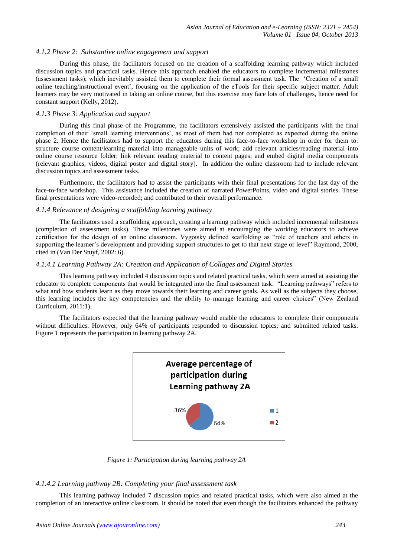#### *4.1.2 Phase 2: Substantive online engagement and support*

During this phase, the facilitators focused on the creation of a scaffolding learning pathway which included discussion topics and practical tasks. Hence this approach enabled the educators to complete incremental milestones (assessment tasks); which inevitably assisted them to complete their formal assessment task. The 'Creation of a small online teaching/instructional event', focusing on the application of the eTools for their specific subject matter. Adult learners may be very motivated in taking an online course, but this exercise may face lots of challenges, hence need for constant support (Kelly, 2012).

#### *4.1.3 Phase 3: Application and support*

During this final phase of the Programme, the facilitators extensively assisted the participants with the final completion of their 'small learning interventions', as most of them had not completed as expected during the online phase 2. Hence the facilitators had to support the educators during this face-to-face workshop in order for them to: structure course content/learning material into manageable units of work; add relevant articles/reading material into online course resource folder; link relevant reading material to content pages; and embed digital media components (relevant graphics, videos, digital poster and digital story). In addition the online classroom had to include relevant discussion topics and assessment tasks.

Furthermore, the facilitators had to assist the participants with their final presentations for the last day of the face-to-face workshop. This assistance included the creation of narrated PowerPoints, video and digital stories. These final presentations were video-recorded; and contributed to their overall performance.

#### *4.1.4 Relevance of designing a scaffolding learning pathway*

The facilitators used a scaffolding approach, creating a learning pathway which included incremental milestones (completion of assessment tasks). These milestones were aimed at encouraging the working educators to achieve certification for the design of an online classroom. Vygotsky defined scaffolding as "role of teachers and others in supporting the learner's development and providing support structures to get to that next stage or level" Raymond, 2000, cited in (Van Der Stuyf, 2002: 6).

## *4.1.4.1 Learning Pathway 2A: Creation and Application of Collages and Digital Stories*

This learning pathway included 4 discussion topics and related practical tasks, which were aimed at assisting the educator to complete components that would be integrated into the final assessment task. "Learning pathways" refers to what and how students learn as they move towards their learning and career goals. As well as the subjects they choose, this learning includes the key competencies and the ability to manage learning and career choices" (New Zealand Curriculum, 2011:1).

The facilitators expected that the learning pathway would enable the educators to complete their components without difficulties. However, only 64% of participants responded to discussion topics; and submitted related tasks. Figure 1 represents the participation in learning pathway 2A.



*Figure 1: Participation during learning pathway 2A*

#### *4.1.4.2 Learning pathway 2B: Completing your final assessment task*

This learning pathway included 7 discussion topics and related practical tasks, which were also aimed at the completion of an interactive online classroom. It should be noted that even though the facilitators enhanced the pathway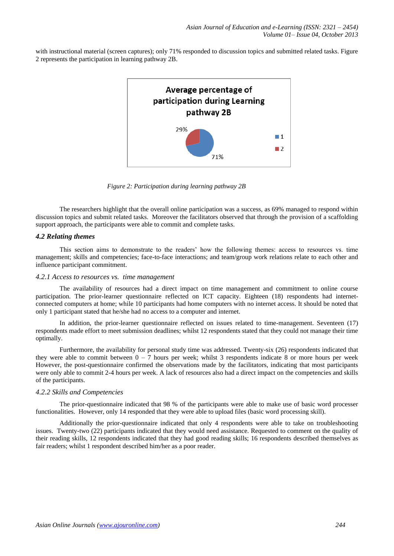with instructional material (screen captures); only 71% responded to discussion topics and submitted related tasks. Figure 2 represents the participation in learning pathway 2B.



*Figure 2: Participation during learning pathway 2B*

The researchers highlight that the overall online participation was a success, as 69% managed to respond within discussion topics and submit related tasks. Moreover the facilitators observed that through the provision of a scaffolding support approach, the participants were able to commit and complete tasks.

#### *4.2 Relating themes*

This section aims to demonstrate to the readers' how the following themes: access to resources vs. time management; skills and competencies; face-to-face interactions; and team/group work relations relate to each other and influence participant commitment.

#### *4.2.1 Access to resources vs. time management*

The availability of resources had a direct impact on time management and commitment to online course participation. The prior-learner questionnaire reflected on ICT capacity. Eighteen (18) respondents had internetconnected computers at home; while 10 participants had home computers with no internet access. It should be noted that only 1 participant stated that he/she had no access to a computer and internet.

In addition, the prior-learner questionnaire reflected on issues related to time-management. Seventeen (17) respondents made effort to meet submission deadlines; whilst 12 respondents stated that they could not manage their time optimally.

Furthermore, the availability for personal study time was addressed. Twenty-six (26) respondents indicated that they were able to commit between  $0 - 7$  hours per week; whilst 3 respondents indicate 8 or more hours per week However, the post-questionnaire confirmed the observations made by the facilitators, indicating that most participants were only able to commit 2-4 hours per week. A lack of resources also had a direct impact on the competencies and skills of the participants.

#### *4.2.2 Skills and Competencies*

The prior-questionnaire indicated that 98 % of the participants were able to make use of basic word processer functionalities. However, only 14 responded that they were able to upload files (basic word processing skill).

Additionally the prior-questionnaire indicated that only 4 respondents were able to take on troubleshooting issues. Twenty-two (22) participants indicated that they would need assistance. Requested to comment on the quality of their reading skills, 12 respondents indicated that they had good reading skills; 16 respondents described themselves as fair readers; whilst 1 respondent described him/her as a poor reader.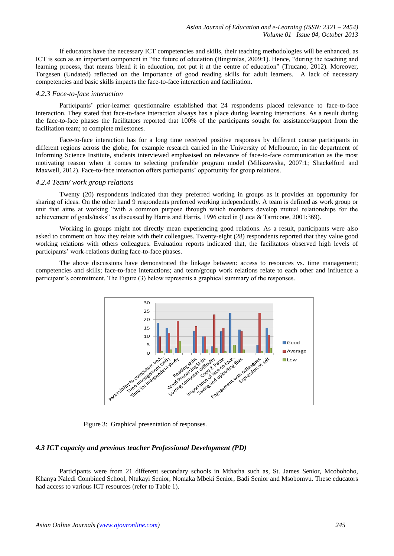If educators have the necessary ICT competencies and skills, their teaching methodologies will be enhanced, as ICT is seen as an important component in "the future of education **(** ingimlas, 2009:1). Hence, "during the teaching and learning process, that means blend it in education, not put it at the centre of education" (Trucano, 2012). Moreover, Torgesen (Undated) reflected on the importance of good reading skills for adult learners. A lack of necessary competencies and basic skills impacts the face-to-face interaction and facilitation**.** 

#### *4.2.3 Face-to-face interaction*

Participants' prior-learner questionnaire established that 24 respondents placed relevance to face-to-face interaction. They stated that face-to-face interaction always has a place during learning interactions. As a result during the face-to-face phases the facilitators reported that 100% of the participants sought for assistance/support from the facilitation team; to complete milestones.

Face-to-face interaction has for a long time received positive responses by different course participants in different regions across the globe, for example research carried in the University of Melbourne, in the department of Informing Science Institute, students interviewed emphasised on relevance of face-to-face communication as the most motivating reason when it comes to selecting preferable program model (Miliszewska, 2007:1; Shackelford and Maxwell, 2012). Face-to-face interaction offers participants' opportunity for group relations.

#### *4.2.4 Team/ work group relations*

Twenty (20) respondents indicated that they preferred working in groups as it provides an opportunity for sharing of ideas. On the other hand 9 respondents preferred working independently. A team is defined as work group or unit that aims at working "with a common purpose through which members develop mutual relationships for the achievement of goals/tasks" as discussed by Harris and Harris, 1996 cited in (Luca & Tarricone, 2001:369).

Working in groups might not directly mean experiencing good relations. As a result, participants were also asked to comment on how they relate with their colleagues. Twenty-eight (28) respondents reported that they value good working relations with others colleagues. Evaluation reports indicated that, the facilitators observed high levels of participants' work-relations during face-to-face phases.

The above discussions have demonstrated the linkage between: access to resources vs. time management; competencies and skills; face-to-face interactions; and team/group work relations relate to each other and influence a participant's commitment. The Figure (3) below represents a graphical summary of the responses.



Figure 3: Graphical presentation of responses.

# *4.3 ICT capacity and previous teacher Professional Development (PD)*

Participants were from 21 different secondary schools in Mthatha such as, St. James Senior, Mcobohoho, Khanya Naledi Combined School, Ntukayi Senior, Nomaka Mbeki Senior, Badi Senior and Msobomvu. These educators had access to various ICT resources (refer to Table 1).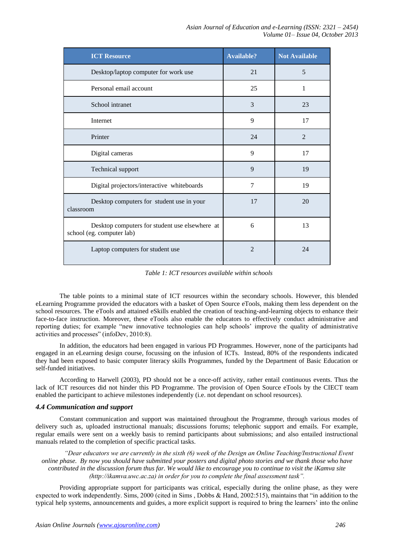| <b>ICT Resource</b>                                                         | <b>Available?</b> | <b>Not Available</b> |
|-----------------------------------------------------------------------------|-------------------|----------------------|
| Desktop/laptop computer for work use                                        | 21                | 5                    |
| Personal email account                                                      | 25                | 1                    |
| School intranet                                                             | 3                 | 23                   |
| Internet                                                                    | 9                 | 17                   |
| Printer                                                                     | 24                | 2                    |
| Digital cameras                                                             | 9                 | 17                   |
| Technical support                                                           | 9                 | 19                   |
| Digital projectors/interactive whiteboards                                  | 7                 | 19                   |
| Desktop computers for student use in your<br>classroom                      | 17                | 20                   |
| Desktop computers for student use elsewhere at<br>school (eg. computer lab) | 6                 | 13                   |
| Laptop computers for student use                                            | $\overline{2}$    | 24                   |

*Table 1: ICT resources available within schools*

The table points to a minimal state of ICT resources within the secondary schools. However, this blended eLearning Programme provided the educators with a basket of Open Source eTools, making them less dependent on the school resources. The eTools and attained eSkills enabled the creation of teaching-and-learning objects to enhance their face-to-face instruction. Moreover, these eTools also enable the educators to effectively conduct administrative and reporting duties; for example "new innovative technologies can help schools' improve the quality of administrative activities and processes" (infoDev, 2010:8).

In addition, the educators had been engaged in various PD Programmes. However, none of the participants had engaged in an eLearning design course, focussing on the infusion of ICTs. Instead, 80% of the respondents indicated they had been exposed to basic computer literacy skills Programmes, funded by the Department of Basic Education or self-funded initiatives.

According to Harwell (2003), PD should not be a once-off activity, rather entail continuous events. Thus the lack of ICT resources did not hinder this PD Programme. The provision of Open Source eTools by the CIECT team enabled the participant to achieve milestones independently (i.e. not dependant on school resources).

#### *4.4 Communication and support*

Constant communication and support was maintained throughout the Programme, through various modes of delivery such as, uploaded instructional manuals; discussions forums; telephonic support and emails. For example, regular emails were sent on a weekly basis to remind participants about submissions; and also entailed instructional manuals related to the completion of specific practical tasks.

*"Dear educators we are currently in the sixth (6) week of the Design an Online Teaching/Instructional Event online phase. By now you should have submitted your posters and digital photo stories and we thank those who have contributed in the discussion forum thus far. We would like to encourage you to continue to visit the iKamva site (http://ikamva.uwc.ac.za) in order for you to complete the final assessment task".*

Providing appropriate support for participants was critical, especially during the online phase, as they were expected to work independently. Sims, 2000 (cited in Sims , Dobbs & Hand, 2002:515), maintains that "in addition to the typical help systems, announcements and guides, a more explicit support is required to bring the learners' into the online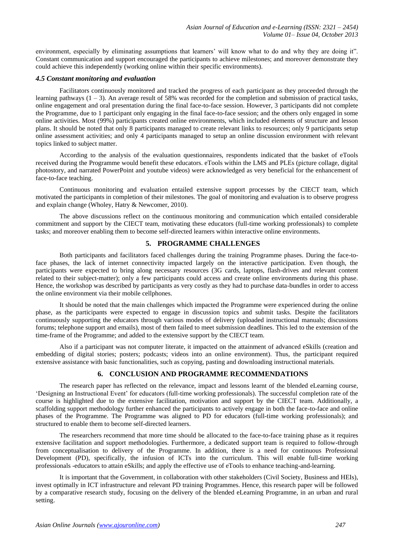environment, especially by eliminating assumptions that learners' will know what to do and why they are doing it". Constant communication and support encouraged the participants to achieve milestones; and moreover demonstrate they could achieve this independently (working online within their specific environments).

#### *4.5 Constant monitoring and evaluation*

Facilitators continuously monitored and tracked the progress of each participant as they proceeded through the learning pathways (1 – 3). An average result of 58% was recorded for the completion and submission of practical tasks, online engagement and oral presentation during the final face-to-face session. However, 3 participants did not complete the Programme, due to 1 participant only engaging in the final face-to-face session; and the others only engaged in some online activities. Most (99%) participants created online environments, which included elements of structure and lesson plans. It should be noted that only 8 participants managed to create relevant links to resources; only 9 participants setup online assessment activities; and only 4 participants managed to setup an online discussion environment with relevant topics linked to subject matter.

According to the analysis of the evaluation questionnaires, respondents indicated that the basket of eTools received during the Programme would benefit these educators. eTools within the LMS and PLEs (picture collage, digital photostory, and narrated PowerPoint and youtube videos) were acknowledged as very beneficial for the enhancement of face-to-face teaching.

Continuous monitoring and evaluation entailed extensive support processes by the CIECT team, which motivated the participants in completion of their milestones. The goal of monitoring and evaluation is to observe progress and explain change (Wholey, Hatry & Newcomer, 2010).

The above discussions reflect on the continuous monitoring and communication which entailed considerable commitment and support by the CIECT team, motivating these educators (full-time working professionals) to complete tasks; and moreover enabling them to become self-directed learners within interactive online environments.

# **5. PROGRAMME CHALLENGES**

Both participants and facilitators faced challenges during the training Programme phases. During the face-toface phases, the lack of internet connectivity impacted largely on the interactive participation. Even though, the participants were expected to bring along necessary resources (3G cards, laptops, flash-drives and relevant content related to their subject-matter); only a few participants could access and create online environments during this phase. Hence, the workshop was described by participants as very costly as they had to purchase data-bundles in order to access the online environment via their mobile cellphones.

It should be noted that the main challenges which impacted the Programme were experienced during the online phase, as the participants were expected to engage in discussion topics and submit tasks. Despite the facilitators continuously supporting the educators through various modes of delivery (uploaded instructional manuals; discussions forums; telephone support and emails), most of them failed to meet submission deadlines. This led to the extension of the time-frame of the Programme; and added to the extensive support by the CIECT team.

Also if a participant was not computer literate, it impacted on the attainment of advanced eSkills (creation and embedding of digital stories; posters; podcasts; videos into an online environment). Thus, the participant required extensive assistance with basic functionalities, such as copying, pasting and downloading instructional materials.

# **6. CONCLUSION AND PROGRAMME RECOMMENDATIONS**

The research paper has reflected on the relevance, impact and lessons learnt of the blended eLearning course, 'Designing an Instructional Event' for educators (full-time working professionals). The successful completion rate of the course is highlighted due to the extensive facilitation, motivation and support by the CIECT team. Additionally, a scaffolding support methodology further enhanced the participants to actively engage in both the face-to-face and online phases of the Programme. The Programme was aligned to PD for educators (full-time working professionals); and structured to enable them to become self-directed learners.

The researchers recommend that more time should be allocated to the face-to-face training phase as it requires extensive facilitation and support methodologies. Furthermore, a dedicated support team is required to follow-through from conceptualisation to delivery of the Programme. In addition, there is a need for continuous Professional Development (PD), specifically, the infusion of ICTs into the curriculum. This will enable full-time working professionals -educators to attain eSkills; and apply the effective use of eTools to enhance teaching-and-learning.

It is important that the Government, in collaboration with other stakeholders (Civil Society, Business and HEIs), invest optimally in ICT infrastructure and relevant PD training Programmes. Hence, this research paper will be followed by a comparative research study, focusing on the delivery of the blended eLearning Programme, in an urban and rural setting.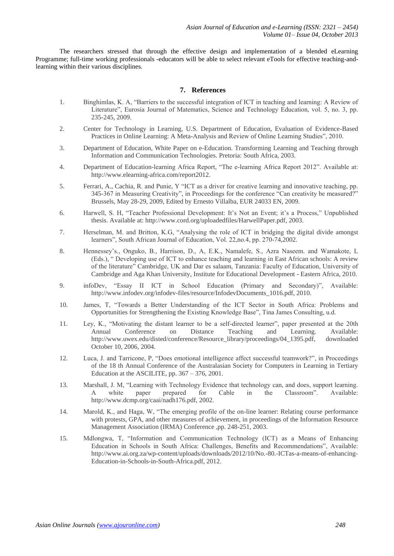The researchers stressed that through the effective design and implementation of a blended eLearning Programme; full-time working professionals -educators will be able to select relevant eTools for effective teaching-andlearning within their various disciplines.

## **7. References**

- 1. Binghimlas, K. A, "Barriers to the successful integration of ICT in teaching and learning: A Review of Literature", Eurosia Journal of Matematics, Science and Technology Education, vol. 5, no. 3, pp. 235-245, 2009.
- 2. Center for Technology in Learning, U.S. Department of Education, Evaluation of Evidence-Based Practices in Online Learning: A Meta-Analysis and Review of Online Learning Studies", 2010.
- 3. Department of Education, White Paper on e-Education. Transforming Learning and Teaching through Information and Communication Technologies. Pretoria: South Africa, 2003.
- 4. Department of Education-learning Africa Report, "The e-learning Africa Report 2012". Available at: http://www.elearning-africa.com/report2012.
- 5. Ferrari, A., Cachia, R. and Punie, Y "ICT as a driver for creative learning and innovative teaching, pp. 345-367 in Measuring Creativity", in Proceedings for the conference "Can creativity be measured?" Brussels, May 28-29, 2009, Edited by Ernesto Villalba, EUR 24033 EN, 2009.
- 6. Harwell, S. H, "Teacher Professional Development: It's Not an Event; it's a Process," Unpublished thesis. Available at: http://www.cord.org/uploadedfiles/HarwellPaper.pdf, 2003.
- 7. Herselman, M. and Britton, K.G, "Analysing the role of ICT in bridging the digital divide amongst learners", South African Journal of Education, Vol. 22,no.4, pp. 270-74,2002.
- 8. Hennessey's., Onguko, B., Harrison, D., A, E.K., Namalefe, S., Azra Naseem. and Wamakote, L (Eds.), " Developing use of ICT to enhance teaching and learning in East African schools: A review of the literature" Cambridge, UK and Dar es salaam, Tanzania: Faculty of Education, University of Cambridge and Aga Khan University, Institute for Educational Development - Eastern Africa, 2010.
- 9. infoDev, "Essay II ICT in School Education (Primary and Secondary)", Available: http://www.infodev.org/infodev-files/resource/InfodevDocuments\_1016.pdf, 2010.
- 10. James, T, "Towards a Better Understanding of the ICT Sector in South Africa: Problems and Opportunities for Strengthening the Existing Knowledge Base", Tina James Consulting, u.d.
- 11. Ley, K., "Motivating the distant learner to be a self-directed learner", paper presented at the 20th Annual Conference on Distance Teaching and Learning. Available: http://www.uwex.edu/disted/conference/Resource\_library/proceedings/04\_1395.pdf, downloaded October 10, 2006, 2004.
- 12. Luca, J. and Tarricone, P, "Does emotional intelligence affect successful teamwork?", in Proceedings of the 18 th Annual Conference of the Australasian Society for Computers in Learning in Tertiary Education at the ASCILITE, pp.  $367 - 376$ , 2001.
- 13. Marshall, J. M, "Learning with Technology Evidence that technology can, and does, support learning. A white paper prepared for Cable in the Classroom". Available: http://www.dcmp.org/caai/nadh176.pdf, 2002.
- 14. Marold, K., and Haga, W, "The emerging profile of the on-line learner: Relating course performance with protests, GPA, and other measures of achievement, in proceedings of the Information Resource Management Association (IRMA) Conference ,pp. 248-251, 2003.
- 15. Mdlongwa, T, "Information and Communication Technology (ICT) as a Means of Enhancing Education in Schools in South Africa: Challenges, enefits and Recommendations", Available: http://www.ai.org.za/wp-content/uploads/downloads/2012/10/No.-80.-ICTas-a-means-of-enhancing-Education-in-Schools-in-South-Africa.pdf, 2012.